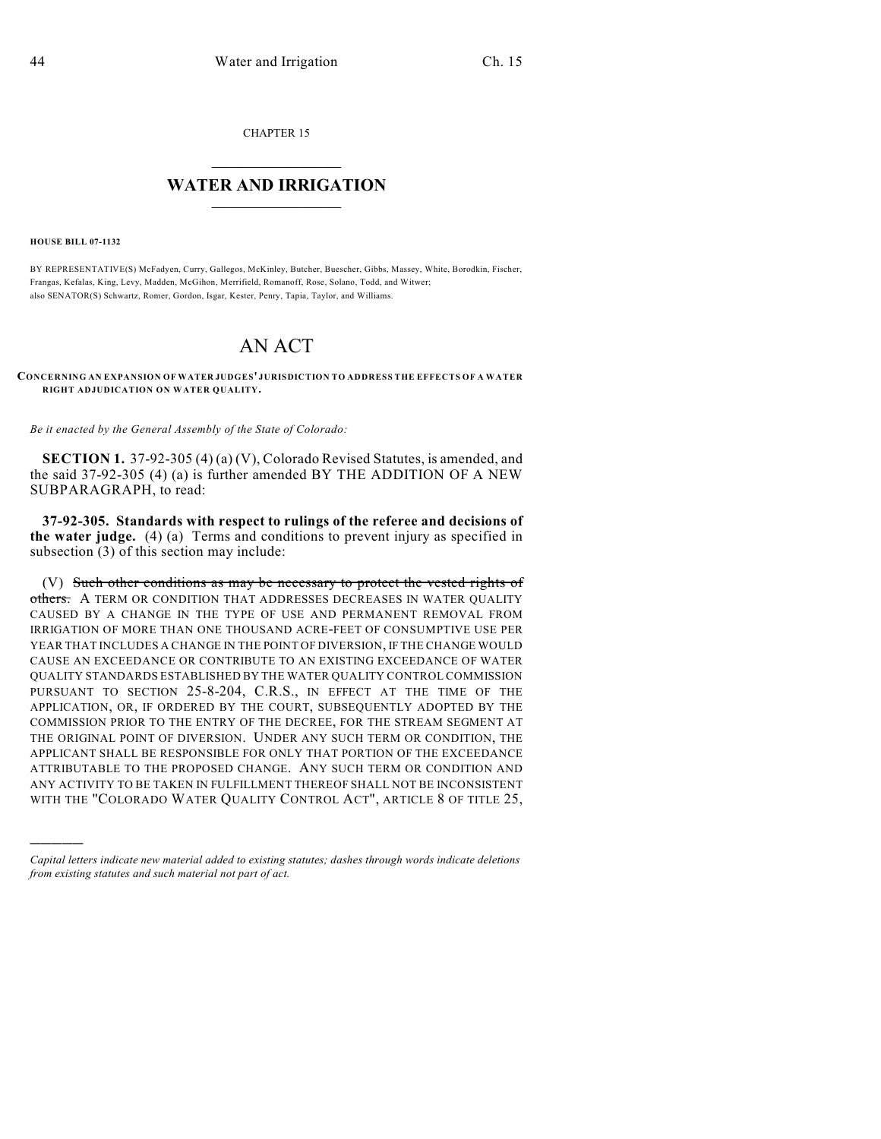CHAPTER 15

## $\mathcal{L}_\text{max}$  . The set of the set of the set of the set of the set of the set of the set of the set of the set of the set of the set of the set of the set of the set of the set of the set of the set of the set of the set **WATER AND IRRIGATION**  $\_$   $\_$

**HOUSE BILL 07-1132**

)))))

BY REPRESENTATIVE(S) McFadyen, Curry, Gallegos, McKinley, Butcher, Buescher, Gibbs, Massey, White, Borodkin, Fischer, Frangas, Kefalas, King, Levy, Madden, McGihon, Merrifield, Romanoff, Rose, Solano, Todd, and Witwer; also SENATOR(S) Schwartz, Romer, Gordon, Isgar, Kester, Penry, Tapia, Taylor, and Williams.

## AN ACT

**CONCERNING AN EXPANSION OF WATER JUDGES' JURISDICTION TO ADDRESS THE EFFECTS OF A WATER RIGHT ADJUDICATION ON WATER QUALITY.**

*Be it enacted by the General Assembly of the State of Colorado:*

**SECTION 1.** 37-92-305 (4) (a) (V), Colorado Revised Statutes, is amended, and the said 37-92-305 (4) (a) is further amended BY THE ADDITION OF A NEW SUBPARAGRAPH, to read:

**37-92-305. Standards with respect to rulings of the referee and decisions of the water judge.** (4) (a) Terms and conditions to prevent injury as specified in subsection (3) of this section may include:

(V) Such other conditions as may be necessary to protect the vested rights of others. A TERM OR CONDITION THAT ADDRESSES DECREASES IN WATER QUALITY CAUSED BY A CHANGE IN THE TYPE OF USE AND PERMANENT REMOVAL FROM IRRIGATION OF MORE THAN ONE THOUSAND ACRE-FEET OF CONSUMPTIVE USE PER YEAR THAT INCLUDES A CHANGE IN THE POINT OF DIVERSION, IF THE CHANGE WOULD CAUSE AN EXCEEDANCE OR CONTRIBUTE TO AN EXISTING EXCEEDANCE OF WATER QUALITY STANDARDS ESTABLISHED BY THE WATER QUALITY CONTROL COMMISSION PURSUANT TO SECTION 25-8-204, C.R.S., IN EFFECT AT THE TIME OF THE APPLICATION, OR, IF ORDERED BY THE COURT, SUBSEQUENTLY ADOPTED BY THE COMMISSION PRIOR TO THE ENTRY OF THE DECREE, FOR THE STREAM SEGMENT AT THE ORIGINAL POINT OF DIVERSION. UNDER ANY SUCH TERM OR CONDITION, THE APPLICANT SHALL BE RESPONSIBLE FOR ONLY THAT PORTION OF THE EXCEEDANCE ATTRIBUTABLE TO THE PROPOSED CHANGE. ANY SUCH TERM OR CONDITION AND ANY ACTIVITY TO BE TAKEN IN FULFILLMENT THEREOF SHALL NOT BE INCONSISTENT WITH THE "COLORADO WATER QUALITY CONTROL ACT", ARTICLE 8 OF TITLE 25,

*Capital letters indicate new material added to existing statutes; dashes through words indicate deletions from existing statutes and such material not part of act.*